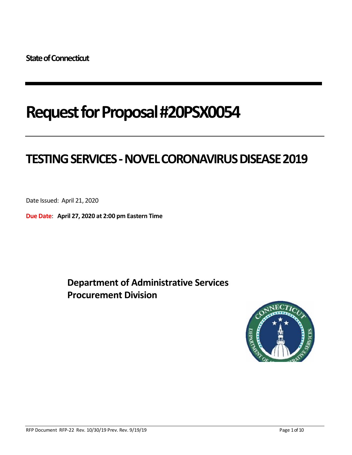# **Request for Proposal #20PSX0054**

# **TESTING SERVICES -NOVELCORONAVIRUS DISEASE 2019**

Date Issued: April 21, 2020

**Due Date**: **April 27, 2020 at 2:00 pm Eastern Time**

**Department of Administrative Services Procurement Division**

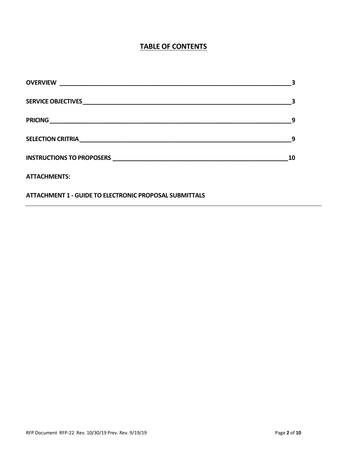# **TABLE OF CONTENTS**

| <b>OVERVIEW</b><br><u> 1980 - Antonio Alemania, prima postala de la provincia de la provincia de la provincia de la provincia de la</u> |    |
|-----------------------------------------------------------------------------------------------------------------------------------------|----|
|                                                                                                                                         |    |
|                                                                                                                                         | 9  |
|                                                                                                                                         | 9  |
|                                                                                                                                         | 10 |
| <b>ATTACHMENTS:</b>                                                                                                                     |    |
| <b>ATTACHMENT 1 - GUIDE TO ELECTRONIC PROPOSAL SUBMITTALS</b>                                                                           |    |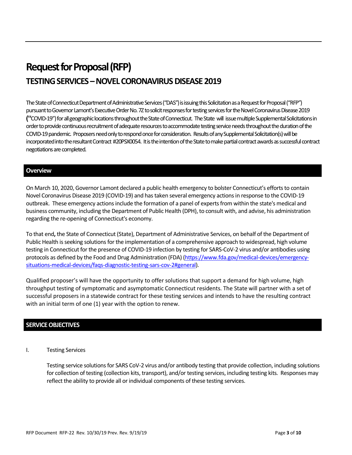# **Request for Proposal (RFP) TESTING SERVICES –NOVEL CORONAVIRUS DISEASE 2019**

The State of Connecticut Department of Administrative Services ("DAS") is issuing this Solicitation as a Request for Proposal("RFP") pursuant to Governor Lamont's Executive Order No. 7Z to solicit responses for testing services for the Novel Coronavirus Disease 2019 **("**COVID-19") for all geographic locations throughout the State of Connecticut. The State will issue multiple Supplemental Solicitations in order to provide continuous recruitment of adequate resources to accommodate testing service needs throughout the duration ofthe COVID-19 pandemic. Proposers need only to respond once for consideration. Results of any Supplemental Solicitation(s) will be incorporated into theresultant Contract #20PSX0054. It is the intention of the State to make partial contract awards as successful contract negotiations are completed.

### **Overview**

On March 10, 2020, Governor Lamont declared a public health emergency to bolster Connecticut's efforts to contain Novel Coronavirus Disease 2019 (COVID-19) and has taken several emergency actions in response to the COVID-19 outbreak. These emergency actionsinclude the formation of a panel of experts from within the state's medical and business community, including the Department of Public Health (DPH), to consult with, and advise, his administration regarding the re-opening of Connecticut's economy.

To that end**,** the State of Connecticut (State), Department of Administrative Services, on behalf of the Department of Public Health isseeking solutions for the implementation of a comprehensive approach to widespread, high volume testing in Connecticut for the presence of COVID-19 infection by testing for SARS-CoV-2 virus and/or antibodies using protocols as defined by the Food and Drug Administration (FDA) [\(https://www.fda.gov/medical-devices/emergency](https://www.fda.gov/medical-devices/emergency-situations-medical-devices/faqs-diagnostic-testing-sars-cov-2#general)[situations-medical-devices/faqs-diagnostic-testing-sars-cov-2#general\)](https://www.fda.gov/medical-devices/emergency-situations-medical-devices/faqs-diagnostic-testing-sars-cov-2#general).

Qualified proposer's will have the opportunity to offer solutions that support a demand for high volume, high throughput testing of symptomatic and asymptomatic Connecticut residents. The State will partner with a set of successful proposers in a statewide contract for these testing services and intends to have the resulting contract with an initial term of one (1) year with the option to renew.

#### **SERVICE OBJECTIVES**

#### I. Testing Services

Testing service solutions for SARS CoV-2 virus and/or antibody testing that provide collection, including solutions for collection of testing (collection kits, transport), and/or testing services, including testing kits. Responses may reflect the ability to provide all or individual components of these testing services.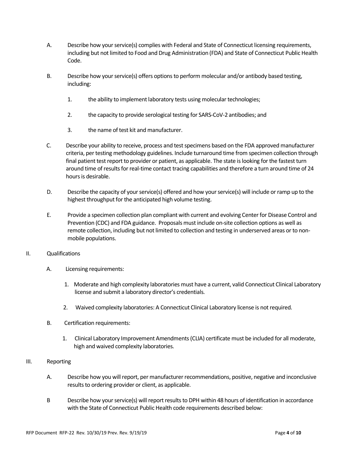- A. Describe how your service(s) complies with Federal and State of Connecticut licensing requirements, including but not limited to Food and Drug Administration (FDA) and State of Connecticut Public Health Code.
- B. Describe how your service(s) offers options to perform molecular and/or antibody based testing, including:
	- 1. the ability to implement laboratory tests using molecular technologies;
	- 2. the capacity to provide serological testing for SARS-CoV-2 antibodies; and
	- 3. the name of test kit and manufacturer.
- C. Describe your ability to receive, process and test specimens based on the FDA approved manufacturer criteria, per testing methodology guidelines. Include turnaround time from specimen collection through final patient test report to provider or patient, as applicable. The state is looking for the fastest turn around time of results for real-time contact tracing capabilities and therefore a turn around time of 24 hours is desirable.
- D. Describe the capacity of your service(s) offered and how your service(s) will include or ramp up to the highest throughput for the anticipated high volume testing.
- E. Provide a specimen collection plan compliant with current and evolving Center for Disease Control and Prevention (CDC) and FDA guidance. Proposals must include on-site collection options as well as remote collection, including but not limited to collection and testing in underserved areas or to nonmobile populations.
- II. Qualifications
	- A. Licensing requirements:
		- 1. Moderate and high complexity laboratories must have a current, valid Connecticut Clinical Laboratory license and submit a laboratory director's credentials.
		- 2. Waived complexity laboratories: A Connecticut Clinical Laboratory license is not required.
	- B. Certification requirements:
		- 1. Clinical Laboratory Improvement Amendments (CLIA) certificate must be included for all moderate, high and waived complexity laboratories.
- III. Reporting
	- A. Describe how you will report, per manufacturer recommendations, positive, negative and inconclusive results to ordering provider or client, as applicable.
	- B Describe how your service(s) will report results to DPH within 48 hours of identification in accordance with the State of Connecticut Public Health code requirements described below: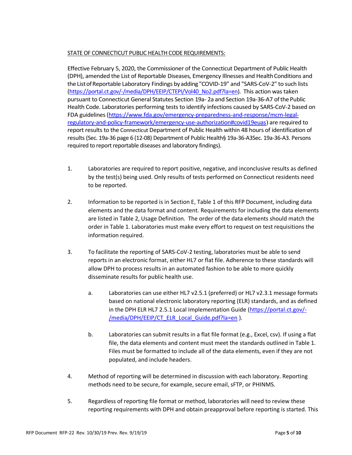### STATE OF CONNECTICUT PUBLIC HEALTH CODE REQUIREMENTS:

Effective February 5, 2020, the Commissioner of the Connecticut Department of Public Health (DPH), amended the List of Reportable Diseases, Emergency Illnesses and Health Conditions and the ListofReportable Laboratory Findings byadding "COVID-19" and "SARS-CoV-2" to such lists [\(https://portal.ct.gov/-/media/DPH/EEIP/CTEPI/Vol40\\_No2.pdf?la=en\)](https://portal.ct.gov/-/media/DPH/EEIP/CTEPI/Vol40_No2.pdf?la=en). This action was taken pursuant to Connecticut General Statutes Section 19a- 2a and Section 19a-36-A7 of the Public Health Code. Laboratories performing tests to identify infections caused by SARS-CoV-2 based on FDA guidelines [\(https://www.fda.gov/emergency-preparedness-and-response/mcm-legal](https://www.fda.gov/emergency-preparedness-and-response/mcm-legal-regulatory-and-policy-framework/emergency-use-authorization#covid19euas)[regulatory-and-policy-framework/emergency-use-authorization#covid19euas](https://www.fda.gov/emergency-preparedness-and-response/mcm-legal-regulatory-and-policy-framework/emergency-use-authorization#covid19euas)) are required to report results to the Connecticut Department of Public Health within 48 hours of identification of results(Sec. 19a-36 page 6 (12-08) Department of Public Health§ 19a-36-A3Sec. 19a-36-A3. Persons required to report reportable diseases and laboratory findings).

- 1. Laboratories are required to report positive, negative, and inconclusive results as defined by the test(s) being used. Only results of tests performed on Connecticut residents need to be reported.
- 2. Information to be reported is in Section E, Table 1 of this RFP Document, including data elements and the data format and content. Requirements for including the data elements are listed in Table 2, Usage Definition. The order of the data elements should match the order in Table 1. Laboratories must make every effort to request on test requisitions the information required.
- 3. To facilitate the reporting of SARS-CoV-2 testing, laboratories must be able to send reports in an electronic format, either HL7 or flat file. Adherence to these standards will allow DPH to process results in an automated fashion to be able to more quickly disseminate results for public health use.
	- a. Laboratories can use either HL7 v2.5.1 (preferred) or HL7 v2.3.1 message formats based on national electronic laboratory reporting (ELR) standards, and as defined in the DPH ELR HL7 2.5.1 Local Implementation Guide [\(https://portal.ct.gov/-](https://portal.ct.gov/-/media/DPH/EEIP/CT_ELR_Local_Guide.pdf?la=en) [/media/DPH/EEIP/CT\\_ELR\\_Local\\_Guide.pdf?la=en](https://portal.ct.gov/-/media/DPH/EEIP/CT_ELR_Local_Guide.pdf?la=en) ).
	- b. Laboratories can submit results in a flat file format (e.g., Excel, csv). If using a flat file, the data elements and content must meet the standards outlined in Table 1. Files must be formatted to include all of the data elements, even if they are not populated, and include headers.
- 4. Method of reporting will be determined in discussion with each laboratory. Reporting methods need to be secure, for example, secure email, sFTP, or PHINMS.
- 5. Regardless of reporting file format or method, laboratories will need to review these reporting requirements with DPH and obtain preapproval before reporting is started. This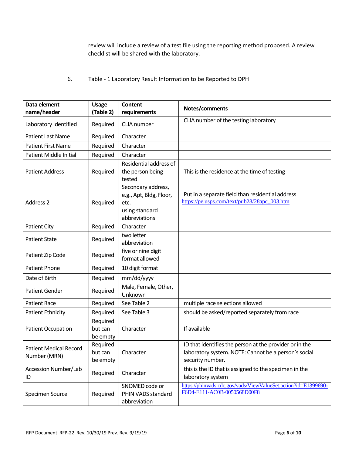review will include a review of a test file using the reporting method proposed. A review checklist will be shared with the laboratory.

## 6. Table - 1 Laboratory Result Information to be Reported to DPH

| Data element                                  |                                 | <b>Content</b>                                                                           |                                                                                                                                     |
|-----------------------------------------------|---------------------------------|------------------------------------------------------------------------------------------|-------------------------------------------------------------------------------------------------------------------------------------|
| name/header                                   | <b>Usage</b><br>(Table 2)       |                                                                                          | Notes/comments                                                                                                                      |
|                                               |                                 | requirements                                                                             |                                                                                                                                     |
| Laboratory Identified                         | Required                        | CLIA number                                                                              | CLIA number of the testing laboratory                                                                                               |
| <b>Patient Last Name</b>                      | Required                        | Character                                                                                |                                                                                                                                     |
| <b>Patient First Name</b>                     | Required                        | Character                                                                                |                                                                                                                                     |
| Patient Middle Initial                        | Required                        | Character                                                                                |                                                                                                                                     |
| <b>Patient Address</b>                        | Required                        | Residential address of<br>the person being<br>tested                                     | This is the residence at the time of testing                                                                                        |
| <b>Address 2</b>                              | Required                        | Secondary address,<br>e.g., Apt, Bldg, Floor,<br>etc.<br>using standard<br>abbreviations | Put in a separate field than residential address<br>https://pe.usps.com/text/pub28/28apc_003.htm                                    |
| <b>Patient City</b>                           | Required                        | Character                                                                                |                                                                                                                                     |
| <b>Patient State</b>                          | Required                        | two letter<br>abbreviation                                                               |                                                                                                                                     |
| Patient Zip Code                              | Required                        | five or nine digit<br>format allowed                                                     |                                                                                                                                     |
| <b>Patient Phone</b>                          | Required                        | 10 digit format                                                                          |                                                                                                                                     |
| Date of Birth                                 | Required                        | mm/dd/yyyy                                                                               |                                                                                                                                     |
| <b>Patient Gender</b>                         | Required                        | Male, Female, Other,<br>Unknown                                                          |                                                                                                                                     |
| <b>Patient Race</b>                           | Required                        | See Table 2                                                                              | multiple race selections allowed                                                                                                    |
| <b>Patient Ethnicity</b>                      | Required                        | See Table 3                                                                              | should be asked/reported separately from race                                                                                       |
| <b>Patient Occupation</b>                     | Required<br>but can<br>be empty | Character                                                                                | If available                                                                                                                        |
| <b>Patient Medical Record</b><br>Number (MRN) | Required<br>but can<br>be empty | Character                                                                                | ID that identifies the person at the provider or in the<br>laboratory system. NOTE: Cannot be a person's social<br>security number. |
| <b>Accession Number/Lab</b><br>ID             | Required                        | Character                                                                                | this is the ID that is assigned to the specimen in the<br>laboratory system                                                         |
| Specimen Source                               | Required                        | SNOMED code or<br>PHIN VADS standard<br>abbreviation                                     | https://phinvads.cdc.gov/vads/ViewValueSet.action?id=E1399690-<br>F6D4-E111-AC0B-0050568D00F8                                       |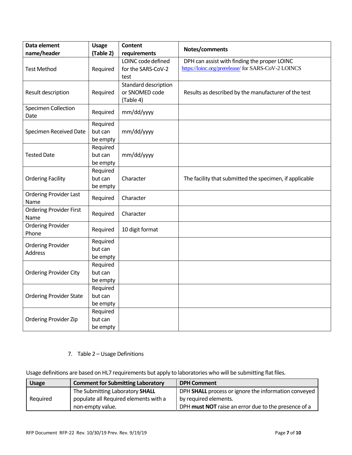| Data element                       | <b>Usage</b>        | Content              |                                                         |  |
|------------------------------------|---------------------|----------------------|---------------------------------------------------------|--|
| name/header                        | (Table 2)           | requirements         | Notes/comments                                          |  |
|                                    |                     | LOINC code defined   | DPH can assist with finding the proper LOINC            |  |
| <b>Test Method</b>                 | Required            | for the SARS-CoV-2   | https://loinc.org/prerelease/ for SARS-CoV-2 LOINCS     |  |
|                                    |                     | test                 |                                                         |  |
|                                    |                     | Standard description |                                                         |  |
| Result description                 | Required            | or SNOMED code       | Results as described by the manufacturer of the test    |  |
|                                    |                     | (Table 4)            |                                                         |  |
| <b>Specimen Collection</b><br>Date | Required            | mm/dd/yyyy           |                                                         |  |
|                                    | Required            |                      |                                                         |  |
| Specimen Received Date             | but can             | mm/dd/yyyy           |                                                         |  |
|                                    | be empty            |                      |                                                         |  |
|                                    | Required            |                      |                                                         |  |
| <b>Tested Date</b>                 | but can             | mm/dd/yyyy           |                                                         |  |
|                                    | be empty            |                      |                                                         |  |
|                                    | Required            |                      |                                                         |  |
| <b>Ordering Facility</b>           | but can             | Character            | The facility that submitted the specimen, if applicable |  |
|                                    | be empty            |                      |                                                         |  |
| <b>Ordering Provider Last</b>      | Required            | Character            |                                                         |  |
| Name                               |                     |                      |                                                         |  |
| <b>Ordering Provider First</b>     | Required            | Character            |                                                         |  |
| Name                               |                     |                      |                                                         |  |
| <b>Ordering Provider</b>           | Required            | 10 digit format      |                                                         |  |
| Phone                              |                     |                      |                                                         |  |
| <b>Ordering Provider</b>           | Required            |                      |                                                         |  |
| <b>Address</b>                     | but can             |                      |                                                         |  |
|                                    | be empty            |                      |                                                         |  |
| <b>Ordering Provider City</b>      | Required<br>but can |                      |                                                         |  |
|                                    | be empty            |                      |                                                         |  |
|                                    | Required            |                      |                                                         |  |
| <b>Ordering Provider State</b>     | but can             |                      |                                                         |  |
|                                    | be empty            |                      |                                                         |  |
|                                    | Required            |                      |                                                         |  |
| Ordering Provider Zip              | but can             |                      |                                                         |  |
|                                    | be empty            |                      |                                                         |  |

### 7. Table 2 – Usage Definitions

Usage definitions are based on HL7 requirements but apply to laboratories who will be submitting flat files.

| <b>Usage</b> | <b>Comment for Submitting Laboratory</b> | <b>DPH Comment</b>                                   |
|--------------|------------------------------------------|------------------------------------------------------|
|              | The Submitting Laboratory SHALL          | DPH SHALL process or ignore the information conveyed |
| Required     | populate all Required elements with a    | by required elements.                                |
|              | non-empty value.                         | DPH must NOT raise an error due to the presence of a |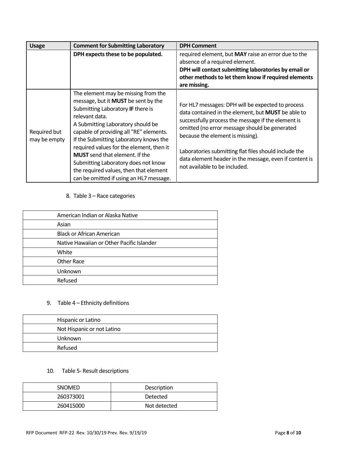| <b>Usage</b>                 | <b>Comment for Submitting Laboratory</b>                                                                                                                                                                                                                                                                                                                                                                                                                                            | <b>DPH Comment</b>                                                                                                                                                                                                                                                                                                                                                                                     |
|------------------------------|-------------------------------------------------------------------------------------------------------------------------------------------------------------------------------------------------------------------------------------------------------------------------------------------------------------------------------------------------------------------------------------------------------------------------------------------------------------------------------------|--------------------------------------------------------------------------------------------------------------------------------------------------------------------------------------------------------------------------------------------------------------------------------------------------------------------------------------------------------------------------------------------------------|
|                              | DPH expects these to be populated.                                                                                                                                                                                                                                                                                                                                                                                                                                                  | required element, but MAY raise an error due to the<br>absence of a required element.<br>DPH will contact submitting laboratories by email or<br>other methods to let them know if required elements<br>are missing.                                                                                                                                                                                   |
| Required but<br>may be empty | The element may be missing from the<br>message, but it <b>MUST</b> be sent by the<br>Submitting Laboratory IF there is<br>relevant data.<br>A Submitting Laboratory should be<br>capable of providing all "RE" elements.<br>If the Submitting Laboratory knows the<br>required values for the element, then it<br><b>MUST</b> send that element. If the<br>Submitting Laboratory does not know<br>the required values, then that element<br>can be omitted if using an HL7 message. | For HL7 messages: DPH will be expected to process<br>data contained in the element, but MUST be able to<br>successfully process the message if the element is<br>omitted (no error message should be generated<br>because the element is missing).<br>Laboratories submitting flat files should include the<br>data element header in the message, even if content is<br>not available to be included. |

# 8. Table 3 – Race categories

| American Indian or Alaska Native          |
|-------------------------------------------|
| Asian                                     |
| <b>Black or African American</b>          |
| Native Hawaiian or Other Pacific Islander |
| White                                     |
| <b>Other Race</b>                         |
| Unknown                                   |
| Refused                                   |
|                                           |

# 9. Table 4 – Ethnicity definitions

| Hispanic or Latino         |
|----------------------------|
| Not Hispanic or not Latino |
| Unknown                    |
| Refused                    |

# 10. Table 5- Result descriptions

| <b>SNOMED</b> | Description  |
|---------------|--------------|
| 260373001     | Detected     |
| 260415000     | Not detected |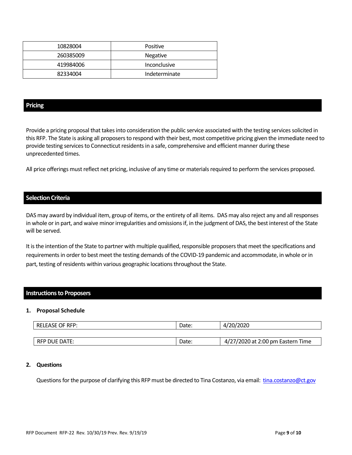| 10828004  | Positive        |
|-----------|-----------------|
| 260385009 | <b>Negative</b> |
| 419984006 | Inconclusive    |
| 82334004  | Indeterminate   |

#### **Pricing**

Provide a pricing proposal that takes into consideration the public service associated with the testing services solicited in this RFP. The State is asking all proposers to respond with their best, most competitive pricing given the immediate need to provide testing services to Connecticut residents in a safe, comprehensive and efficient manner during these unprecedented times.

All price offerings must reflect net pricing, inclusive of any time or materials required to perform the services proposed.

#### **Selection Criteria**

DAS may award by individual item, group of items, or the entirety of all items. DAS may also reject any and all responses in whole or in part, and waive minor irregularities and omissions if, in the judgment of DAS, the best interest of the State will be served.

It is the intention of the State to partner with multiple qualified, responsible proposers that meet the specifications and requirements in order to best meet the testing demands of the COVID-19 pandemic and accommodate, in whole or in part, testing of residents within various geographic locations throughout the State.

#### **Instructions to Proposers**

#### **1. Proposal Schedule**

| <b>RELEASE OF RFP:</b> | Date: | 4/20/2020                         |
|------------------------|-------|-----------------------------------|
|                        |       |                                   |
| l RFP DUE DATE:        | Date: | 4/27/2020 at 2:00 pm Eastern Time |

#### **2. Questions**

Questions for the purpose of clarifying this RFP must be directed to Tina Costanzo, via email: [tina.costanzo@ct.gov](mailto:tina.costanzo@ct.gov)